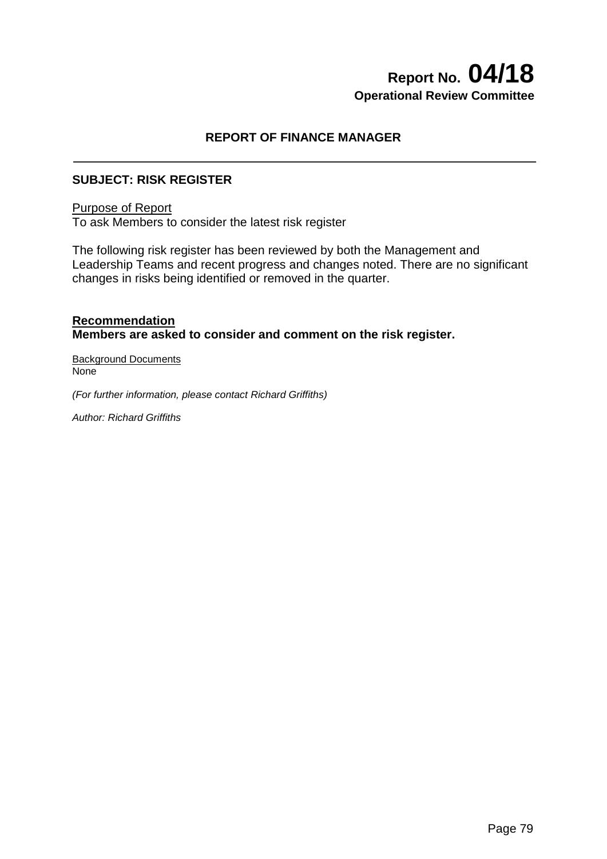# **Report No. 04/18 Operational Review Committee**

## **REPORT OF FINANCE MANAGER**

### **SUBJECT: RISK REGISTER**

#### Purpose of Report

To ask Members to consider the latest risk register

The following risk register has been reviewed by both the Management and Leadership Teams and recent progress and changes noted. There are no significant changes in risks being identified or removed in the quarter.

#### **Recommendation Members are asked to consider and comment on the risk register.**

Background Documents None

*(For further information, please contact Richard Griffiths)* 

*Author: Richard Griffiths*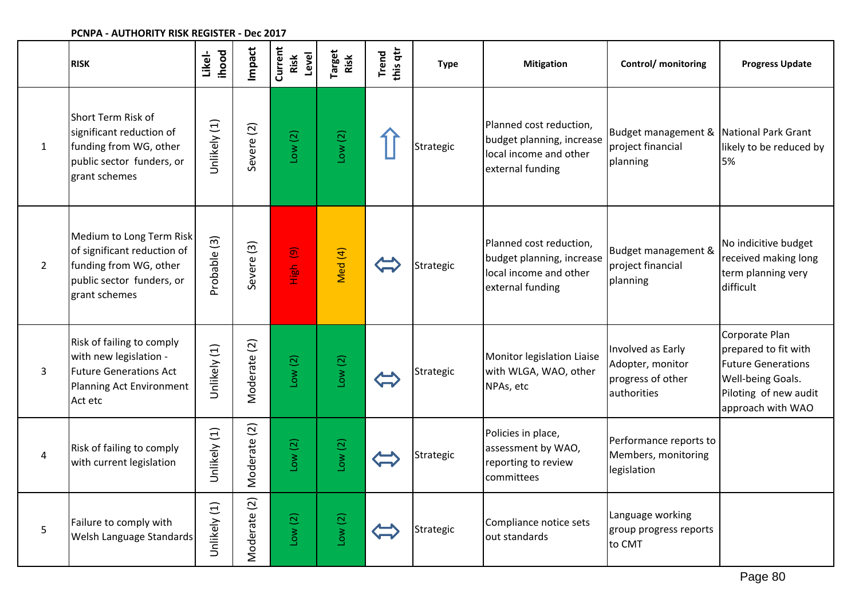#### **Impact Current ihood Target Risk Likel-Trend this qtr Risk Level RISK Type Mitigation Control/ monitoring Progress Update** Short Term Risk of Jnlikely (1) Planned cost reduction, Unlikely (1) Severe (2) Budget management & significant reduction of Low (2) National Park Grant Low (2) budget planning, increase funding from WG, other project financial likely to be reduced by 1 Strategic local income and other public sector funders, or planning 5% external funding grant schemes Medium to Long Term Risk Probable (3) Probable (3) Planned cost reduction, No indicitive budget Severe (3) High (9) of significant reduction of Med (4) Budget management & budget planning, increase received making long funding from WG, other Strategic project financial 2 local income and other term planning very public sector funders, or planning external funding difficult grant schemes Corporate Plan Risk of failing to comply Moderate (2) Moderate (2) Jnlikely (1) Involved as Early prepared to fit with Unlikely (1) with new legislation - Monitor legislation Liaise Low (2) Low (2) Adopter, monitor Future Generations with WLGA, WAO, other 3 Future Generations Act Strategic progress of other Well-being Goals. Planning Act Environment NPAs, etc authorities Piloting of new audit Act etc approach with WAO Moderate (2) Moderate (2) Jnlikely (1) Policies in place, Unlikely (1) Performance reports to Low (2) Low (2) **A** Risk of failing to comply assessment by WAO, Members, monitoring Strategic with current legislation reporting to review legislation committees Moderate (2) Moderate (2) Unlikely (1) Unlikely (1) Language working Low (2) Low (2) 5 Failure to comply with Strategic Compliance notice sets group progress reports Welsh Language Standards out standards to CMT

#### **PCNPA - AUTHORITY RISK REGISTER - Dec 2017**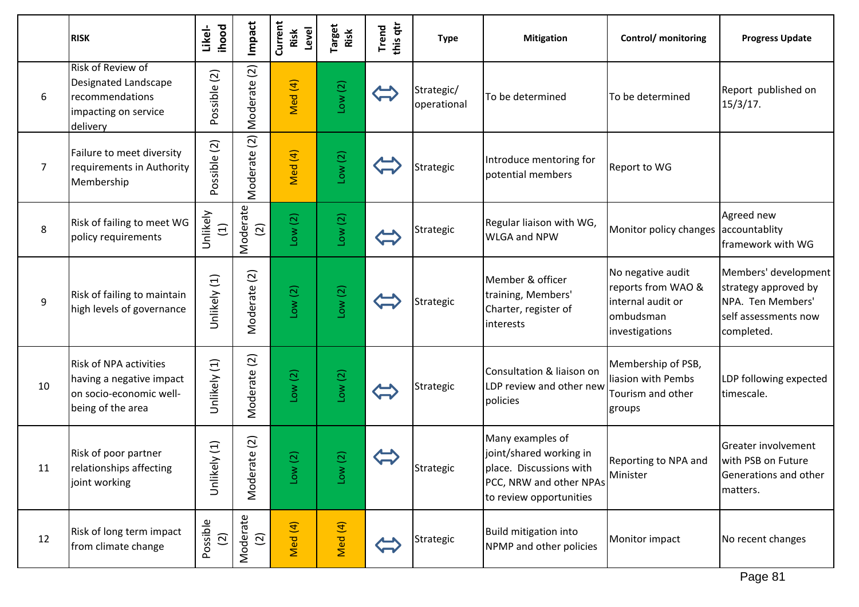|    | <b>RISK</b>                                                                                               | ihood<br>Likel-         | Impact                         | Current<br>Level<br>Risk      | <sup>Target</sup><br>Risk    | this qtr<br>Trend | <b>Type</b>               | <b>Mitigation</b>                                                                                                            | Control/ monitoring                                                                         | <b>Progress Update</b>                                                                                  |
|----|-----------------------------------------------------------------------------------------------------------|-------------------------|--------------------------------|-------------------------------|------------------------------|-------------------|---------------------------|------------------------------------------------------------------------------------------------------------------------------|---------------------------------------------------------------------------------------------|---------------------------------------------------------------------------------------------------------|
| 6  | Risk of Review of<br>Designated Landscape<br>recommendations<br>impacting on service<br>delivery          | Possible (2)            | $\widehat{\Omega}$<br>Moderate | Med (4)                       | Low(2)                       |                   | Strategic/<br>operational | To be determined                                                                                                             | To be determined                                                                            | Report published on<br>15/3/17.                                                                         |
| 7  | Failure to meet diversity<br>requirements in Authority<br>Membership                                      | Possible (2)            | $\widehat{\Omega}$<br>Moderate | Med (4)                       | Low(2)                       |                   | Strategic                 | Introduce mentoring for<br>potential members                                                                                 | Report to WG                                                                                |                                                                                                         |
| 8  | Risk of failing to meet WG<br>policy requirements                                                         | Unlikely<br>$\Xi$       | Moderate<br>$\widehat{2}$      | Low(2)                        | Low(2)                       |                   | Strategic                 | Regular liaison with WG,<br><b>WLGA and NPW</b>                                                                              | Monitor policy changes                                                                      | Agreed new<br>accountablity<br>framework with WG                                                        |
| 9  | Risk of failing to maintain<br>high levels of governance                                                  | Unlikely (1)            | $\boxed{2}$<br>Moderate        | Low(2)                        | Low(2)                       |                   | Strategic                 | Member & officer<br>training, Members'<br>Charter, register of<br>interests                                                  | No negative audit<br>reports from WAO &<br>internal audit or<br>ombudsman<br>investigations | Members' development<br>strategy approved by<br>NPA. Ten Members'<br>self assessments now<br>completed. |
| 10 | <b>Risk of NPA activities</b><br>having a negative impact<br>on socio-economic well-<br>being of the area | Unlikely (1)            | $\boxed{2}$<br>Moderate        | Low(2)                        | Low(2)                       |                   | Strategic                 | Consultation & liaison on<br>LDP review and other new<br>policies                                                            | Membership of PSB,<br>liasion with Pembs<br>Tourism and other<br>groups                     | LDP following expected<br>timescale.                                                                    |
| 11 | Risk of poor partner<br>relationships affecting<br>joint working                                          | Unlikely (1)            | $\text{ate}(2)$<br>Moder       | $\overline{c}$<br>$\geq$<br>ق | $\overline{c}$<br><b>NOT</b> |                   | Strategic                 | Many examples of<br>joint/shared working in<br>place. Discussions with<br>PCC, NRW and other NPAs<br>to review opportunities | Reporting to NPA and<br>Minister                                                            | Greater involvement<br>with PSB on Future<br>Generations and other<br>matters.                          |
| 12 | Risk of long term impact<br>from climate change                                                           | Possible<br>$\boxed{2}$ | ate<br>Modera<br>$(2)$         | Med (4)                       | Med (4)                      |                   | Strategic                 | <b>Build mitigation into</b><br>NPMP and other policies                                                                      | Monitor impact                                                                              | No recent changes                                                                                       |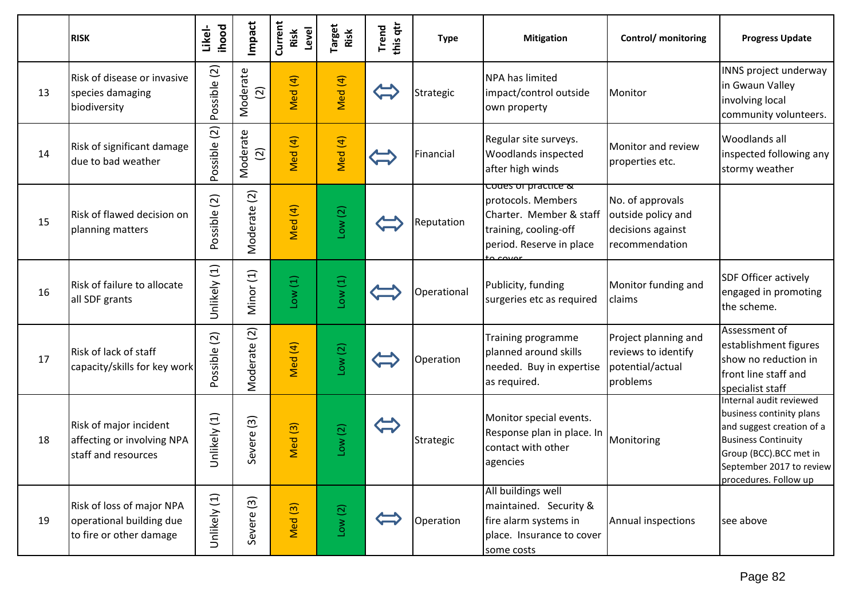|    | <b>RISK</b>                                                                      | <b>ihood</b><br>Likel-  | Impact                     | Current<br>Level<br>Risk    | <b>Target</b><br>Risk | this qtr<br>Trend | <b>Type</b> | <b>Mitigation</b>                                                                                                                        | Control/ monitoring                                                           | <b>Progress Update</b>                                                                                                                                                                        |
|----|----------------------------------------------------------------------------------|-------------------------|----------------------------|-----------------------------|-----------------------|-------------------|-------------|------------------------------------------------------------------------------------------------------------------------------------------|-------------------------------------------------------------------------------|-----------------------------------------------------------------------------------------------------------------------------------------------------------------------------------------------|
| 13 | Risk of disease or invasive<br>species damaging<br>biodiversity                  | Possible (2)            | Moderate<br>$\boxed{2}$    | Med (4)                     | Med (4)               |                   | Strategic   | <b>NPA has limited</b><br>impact/control outside<br>own property                                                                         | Monitor                                                                       | INNS project underway<br>in Gwaun Valley<br>involving local<br>community volunteers.                                                                                                          |
| 14 | Risk of significant damage<br>due to bad weather                                 | Possible (2)            | Moderate<br>$\overline{2}$ | Med (4)                     | Med (4)               |                   | Financial   | Regular site surveys.<br>Woodlands inspected<br>after high winds                                                                         | Monitor and review<br>properties etc.                                         | <b>Woodlands all</b><br>inspected following any<br>stormy weather                                                                                                                             |
| 15 | Risk of flawed decision on<br>planning matters                                   | Possible (2)            | $\boxed{2}$<br>Moderate    | Med (4)                     | Low(2)                |                   | Reputation  | <del>coues or practice &amp;</del><br>protocols. Members<br>Charter. Member & staff<br>training, cooling-off<br>period. Reserve in place | No. of approvals<br>outside policy and<br>decisions against<br>recommendation |                                                                                                                                                                                               |
| 16 | Risk of failure to allocate<br>all SDF grants                                    | Unlikely (1)            | Minor (1)                  | Low(1)                      | Low(1)                |                   | Operational | Publicity, funding<br>surgeries etc as required                                                                                          | Monitor funding and<br>claims                                                 | SDF Officer actively<br>engaged in promoting<br>the scheme.                                                                                                                                   |
| 17 | Risk of lack of staff<br>capacity/skills for key work                            | $\boxed{2}$<br>Possible | $\boxed{2}$<br>Moderate    | Med (4)                     | Low(2)                |                   | Operation   | Training programme<br>planned around skills<br>needed. Buy in expertise<br>as required.                                                  | Project planning and<br>reviews to identify<br>potential/actual<br>problems   | Assessment of<br>establishment figures<br>show no reduction in<br>front line staff and<br>specialist staff                                                                                    |
| 18 | Risk of major incident<br>affecting or involving NPA<br>staff and resources      | Unlikely (1)            | $\boxed{3}$<br>Severe      | Med <sub>(3)</sub>          | Low(2)                |                   | Strategic   | Monitor special events.<br>Response plan in place. In<br>contact with other<br>agencies                                                  | Monitoring                                                                    | Internal audit reviewed<br>business continity plans<br>and suggest creation of a<br><b>Business Continuity</b><br>Group (BCC).BCC met in<br>September 2017 to review<br>procedures. Follow up |
| 19 | Risk of loss of major NPA<br>operational building due<br>to fire or other damage | Unlikely (1)            | $\boxed{3}$<br>Severe      | $\widehat{S}$<br><b>Med</b> | Low(2)                |                   | Operation   | All buildings well<br>maintained. Security &<br>fire alarm systems in<br>place. Insurance to cover<br>some costs                         | Annual inspections                                                            | see above                                                                                                                                                                                     |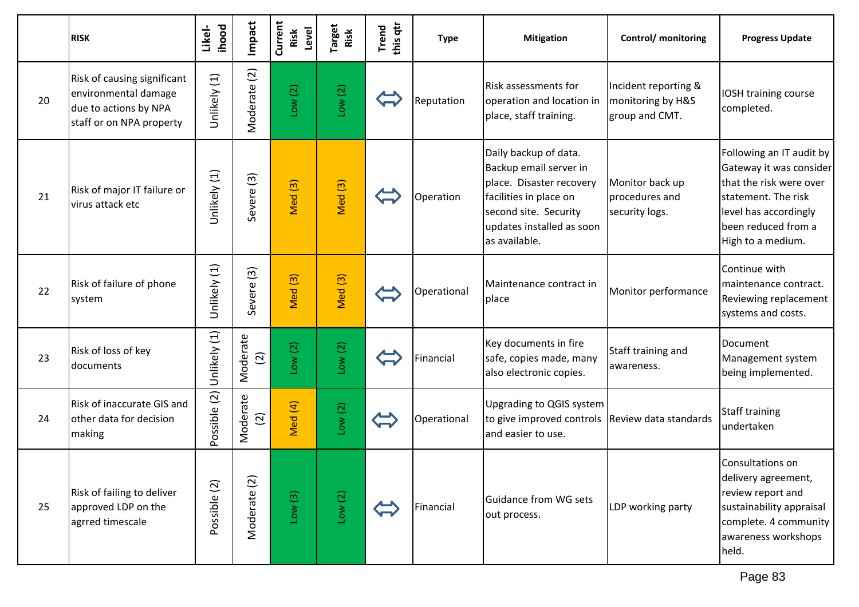|    | <b>RISK</b>                                                                                              | ihood<br>Likel- | mpact                               | Current<br>Level<br>Risk | Target<br>Risk     | this qtr<br>Trend | <b>Type</b> | <b>Mitigation</b>                                                                                                                                                            | Control/ monitoring                                         | <b>Progress Update</b>                                                                                                                                                     |
|----|----------------------------------------------------------------------------------------------------------|-----------------|-------------------------------------|--------------------------|--------------------|-------------------|-------------|------------------------------------------------------------------------------------------------------------------------------------------------------------------------------|-------------------------------------------------------------|----------------------------------------------------------------------------------------------------------------------------------------------------------------------------|
| 20 | Risk of causing significant<br>environmental damage<br>due to actions by NPA<br>staff or on NPA property | Unlikely (1)    | $\boxed{2}$<br>Moderate             | Low(2)                   | Low(2)             |                   | Reputation  | Risk assessments for<br>operation and location in<br>place, staff training.                                                                                                  | Incident reporting &<br>monitoring by H&S<br>group and CMT. | IOSH training course<br>completed.                                                                                                                                         |
| 21 | Risk of major IT failure or<br>virus attack etc                                                          | Unlikely (1)    | $\widetilde{\mathcal{E}}$<br>Severe | Med <sub>(3)</sub>       | Med <sub>(3)</sub> |                   | Operation   | Daily backup of data.<br>Backup email server in<br>place. Disaster recovery<br>facilities in place on<br>second site. Security<br>updates installed as soon<br>as available. | Monitor back up<br>procedures and<br>security logs.         | Following an IT audit by<br>Gateway it was consider<br>that the risk were over<br>statement. The risk<br>level has accordingly<br>been reduced from a<br>High to a medium. |
| 22 | Risk of failure of phone<br>system                                                                       | Unlikely (1)    | $\boxed{3}$<br>Severe               | Med <sub>(3)</sub>       | Med <sup>(3)</sup> |                   | Operational | Maintenance contract in<br>place                                                                                                                                             | Monitor performance                                         | Continue with<br>maintenance contract.<br>Reviewing replacement<br>systems and costs.                                                                                      |
| 23 | Risk of loss of key<br>documents                                                                         | Unlikely (1)    | Moderate<br>$\boxed{2}$             | Low(2)                   | Low(2)             |                   | Financial   | Key documents in fire<br>safe, copies made, many<br>also electronic copies.                                                                                                  | Staff training and<br>awareness.                            | Document<br>Management system<br>being implemented.                                                                                                                        |
| 24 | Risk of inaccurate GIS and<br>other data for decision<br>making                                          | Possible (2)    | Moderate<br>$\widehat{\mathcal{Q}}$ | Med (4)                  | Low(2)             |                   | Operational | Upgrading to QGIS system<br>to give improved controls Review data standards<br>land easier to use.                                                                           |                                                             | Staff training<br>undertaken                                                                                                                                               |
| 25 | Risk of failing to deliver<br>approved LDP on the<br>agrred timescale                                    | Possible (2)    | $\boxed{2}$<br>Moderate             | Low(3)                   | Low(2)             |                   | Financial   | Guidance from WG sets<br>out process.                                                                                                                                        | LDP working party                                           | Consultations on<br>delivery agreement,<br>review report and<br>sustainability appraisal<br>complete. 4 community<br>awareness workshops<br>held.                          |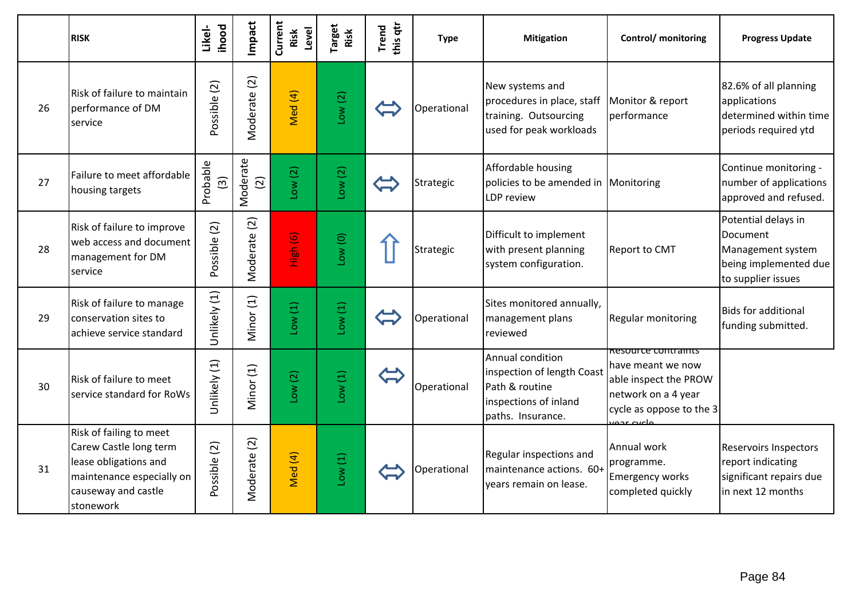|    | <b>RISK</b>                                                                                                                                 | ihood<br>Likel-                      | Impact                           | Current<br>Level<br>Risk | Target<br>Risk | this qtr<br>Trend             | <b>Type</b> | <b>Mitigation</b>                                                                                              | Control/ monitoring                                                                                                               | <b>Progress Update</b>                                                                              |
|----|---------------------------------------------------------------------------------------------------------------------------------------------|--------------------------------------|----------------------------------|--------------------------|----------------|-------------------------------|-------------|----------------------------------------------------------------------------------------------------------------|-----------------------------------------------------------------------------------------------------------------------------------|-----------------------------------------------------------------------------------------------------|
| 26 | Risk of failure to maintain<br>performance of DM<br>service                                                                                 | Possible (2)                         | Moderate (2)                     | Med (4)                  | Low(2)         |                               | Operational | New systems and<br>procedures in place, staff<br>training. Outsourcing<br>used for peak workloads              | Monitor & report<br>performance                                                                                                   | 82.6% of all planning<br>applications<br>determined within time<br>periods required ytd             |
| 27 | Failure to meet affordable<br>housing targets                                                                                               | Probable<br>$\widehat{\mathfrak{D}}$ | Moderate<br>$\boxed{2}$          | Low(2)                   | Low(2)         |                               | Strategic   | Affordable housing<br>policies to be amended in Monitoring<br>LDP review                                       |                                                                                                                                   | Continue monitoring -<br>number of applications<br>approved and refused.                            |
| 28 | Risk of failure to improve<br>web access and document<br>management for DM<br>service                                                       | Possible (2)                         | Moderate (2)                     | High (6)                 | Low(0)         |                               | Strategic   | Difficult to implement<br>with present planning<br>system configuration.                                       | Report to CMT                                                                                                                     | Potential delays in<br>Document<br>Management system<br>being implemented due<br>to supplier issues |
| 29 | Risk of failure to manage<br>conservation sites to<br>achieve service standard                                                              | Unlikely (1)                         | Minor (1)                        | Low(1)                   | Low(1)         |                               | Operational | Sites monitored annually,<br>management plans<br>reviewed                                                      | Regular monitoring                                                                                                                | <b>Bids for additional</b><br>funding submitted.                                                    |
| 30 | Risk of failure to meet<br>service standard for RoWs                                                                                        | Unlikely (1)                         | Minor (1)                        | Low(2)                   | Low(1)         | $\overleftarrow{\phantom{a}}$ | Operational | Annual condition<br>inspection of length Coast<br>Path & routine<br>inspections of inland<br>paths. Insurance. | Resource contraints<br>have meant we now<br>able inspect the PROW<br>network on a 4 year<br>cycle as oppose to the 3<br>ماعیت عدد |                                                                                                     |
| 31 | Risk of failing to meet<br>Carew Castle long term<br>lease obligations and<br>maintenance especially on<br>causeway and castle<br>stonework | Possible (2)                         | $\widetilde{\Omega}$<br>Moderate | Med (4)                  | Low(1)         |                               | Operational | Regular inspections and<br>maintenance actions. 60+<br>years remain on lease.                                  | Annual work<br>programme.<br><b>Emergency works</b><br>completed quickly                                                          | <b>Reservoirs Inspectors</b><br>report indicating<br>significant repairs due<br>in next 12 months   |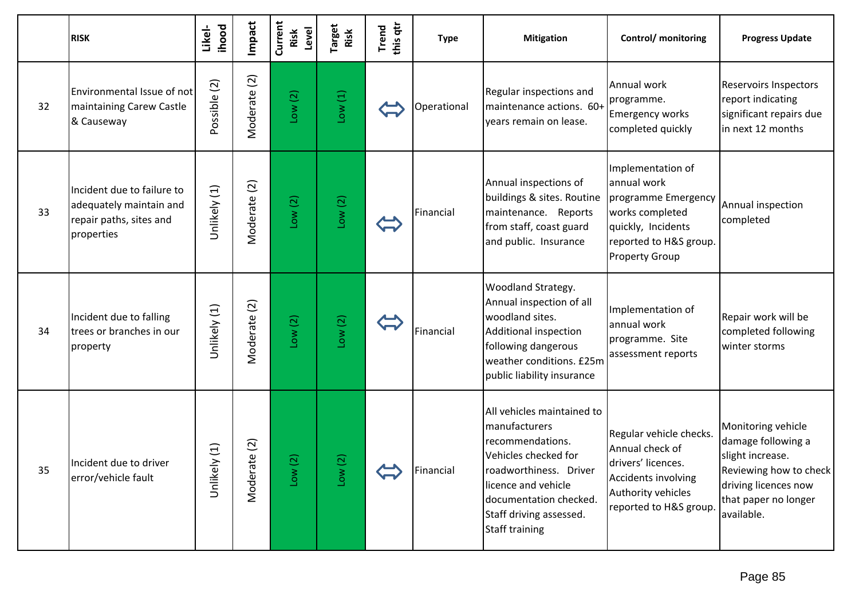|    | <b>RISK</b>                                                                                    | <b>ihood</b><br>Likel- | Impact                         | Current<br>Level<br>Risk | Target<br>Risk                       | this qtr<br>Trend     | <b>Type</b> | <b>Mitigation</b>                                                                                                                                                                                                      | Control/ monitoring                                                                                                                                 | <b>Progress Update</b>                                                                                                                               |
|----|------------------------------------------------------------------------------------------------|------------------------|--------------------------------|--------------------------|--------------------------------------|-----------------------|-------------|------------------------------------------------------------------------------------------------------------------------------------------------------------------------------------------------------------------------|-----------------------------------------------------------------------------------------------------------------------------------------------------|------------------------------------------------------------------------------------------------------------------------------------------------------|
| 32 | Environmental Issue of not<br>maintaining Carew Castle<br>& Causeway                           | Possible (2)           | $\boxed{2}$<br>Moderate        | Low(2)                   | Low(1)                               |                       | Operational | Regular inspections and<br>maintenance actions. 60+<br>years remain on lease.                                                                                                                                          | Annual work<br>programme.<br><b>Emergency works</b><br>completed quickly                                                                            | <b>Reservoirs Inspectors</b><br>report indicating<br>significant repairs due<br>in next 12 months                                                    |
| 33 | Incident due to failure to<br>adequately maintain and<br>repair paths, sites and<br>properties | Unlikely (1)           | Moderate (2)                   | Low(2)                   | Low(2)                               |                       | Financial   | Annual inspections of<br>buildings & sites. Routine<br>maintenance. Reports<br>from staff, coast guard<br>and public. Insurance                                                                                        | Implementation of<br>annual work<br>programme Emergency<br>works completed<br>quickly, Incidents<br>reported to H&S group.<br><b>Property Group</b> | Annual inspection<br>completed                                                                                                                       |
| 34 | Incident due to falling<br>trees or branches in our<br>property                                | Unlikely (1)           | $\boxed{2}$<br>Moderate        | Low(2)                   | Low(2)                               |                       | Financial   | Woodland Strategy.<br>Annual inspection of all<br>woodland sites.<br>Additional inspection<br>following dangerous<br>weather conditions. £25m<br>public liability insurance                                            | Implementation of<br>annual work<br>programme. Site<br>assessment reports                                                                           | Repair work will be<br>completed following<br>winter storms                                                                                          |
| 35 | Incident due to driver<br>error/vehicle fault                                                  | Unlikely (1)           | $\overline{c}$<br>ate<br>Moder | $\widehat{\Omega}$<br>ş  | $\widetilde{\text{C}}$<br><b>NOT</b> | $\blacktriangle$<br>W | Financial   | All vehicles maintained to<br>manufacturers<br>recommendations.<br>Vehicles checked for<br>roadworthiness. Driver<br>licence and vehicle<br>documentation checked.<br>Staff driving assessed.<br><b>Staff training</b> | Regular vehicle checks.<br>Annual check of<br>drivers' licences.<br>Accidents involving<br>Authority vehicles<br>reported to H&S group.             | Monitoring vehicle<br>damage following a<br>slight increase.<br>Reviewing how to check<br>driving licences now<br>that paper no longer<br>available. |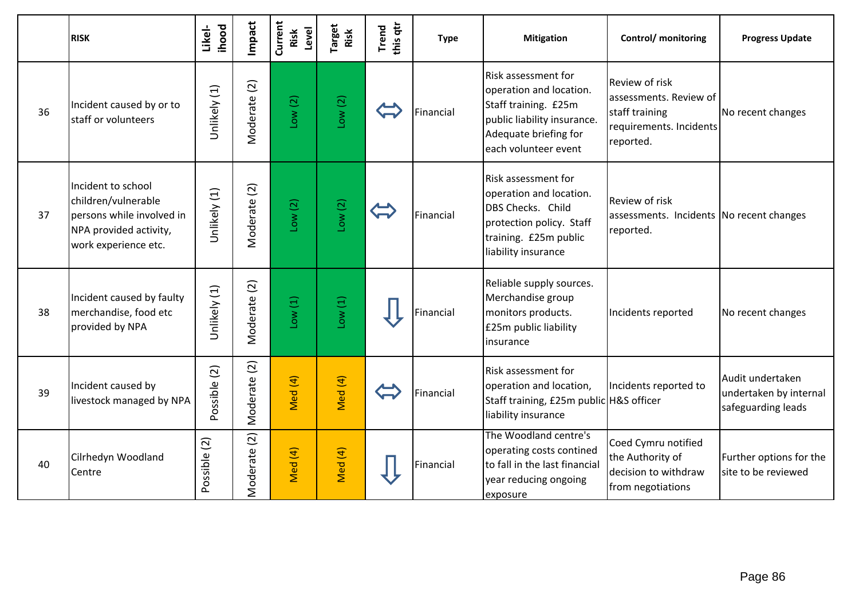|    | <b>RISK</b>                                                                                                              | <b>ihood</b><br>Likel- | Impact                     | Current<br>Level<br>Risk | Target<br>Risk | this qtr<br>Trend | <b>Type</b> | <b>Mitigation</b>                                                                                                                                      | Control/ monitoring                                                                                       | <b>Progress Update</b>                                           |
|----|--------------------------------------------------------------------------------------------------------------------------|------------------------|----------------------------|--------------------------|----------------|-------------------|-------------|--------------------------------------------------------------------------------------------------------------------------------------------------------|-----------------------------------------------------------------------------------------------------------|------------------------------------------------------------------|
| 36 | Incident caused by or to<br>staff or volunteers                                                                          | Unlikely (1)           | $\boxed{2}$<br>Moderate    | Low(2)                   | Low(2)         |                   | Financial   | Risk assessment for<br>operation and location.<br>Staff training. £25m<br>public liability insurance.<br>Adequate briefing for<br>each volunteer event | <b>Review of risk</b><br>assessments. Review of<br>staff training<br>requirements. Incidents<br>reported. | No recent changes                                                |
| 37 | Incident to school<br>children/vulnerable<br>persons while involved in<br>NPA provided activity,<br>work experience etc. | Unlikely (1)           | Moderate (2)               | Low(2)                   | Low(2)         |                   | Financial   | Risk assessment for<br>operation and location.<br>DBS Checks. Child<br>protection policy. Staff<br>training. £25m public<br>liability insurance        | Review of risk<br>assessments. Incidents No recent changes<br>reported.                                   |                                                                  |
| 38 | Incident caused by faulty<br>merchandise, food etc<br>provided by NPA                                                    | Unlikely (1)           | Moderate (2)               | 10w(1)                   | Low(1)         |                   | Financial   | Reliable supply sources.<br>Merchandise group<br>monitors products.<br>£25m public liability<br>insurance                                              | Incidents reported                                                                                        | No recent changes                                                |
| 39 | Incident caused by<br>livestock managed by NPA                                                                           | Possible (2)           | $\boxed{2}$<br>Moderate    | Med (4)                  | Med (4)        |                   | Financial   | Risk assessment for<br>operation and location,<br>Staff training, £25m public H&S officer<br>liability insurance                                       | Incidents reported to                                                                                     | Audit undertaken<br>undertaken by internal<br>safeguarding leads |
| 40 | Cilrhedyn Woodland<br>Centre                                                                                             | Possible (2)           | $\overline{2}$<br>Moderate | Med (4)                  | Med (4)        |                   | Financial   | The Woodland centre's<br>operating costs contined<br>to fall in the last financial<br>year reducing ongoing<br>exposure                                | Coed Cymru notified<br>the Authority of<br>decision to withdraw<br>from negotiations                      | Further options for the<br>site to be reviewed                   |